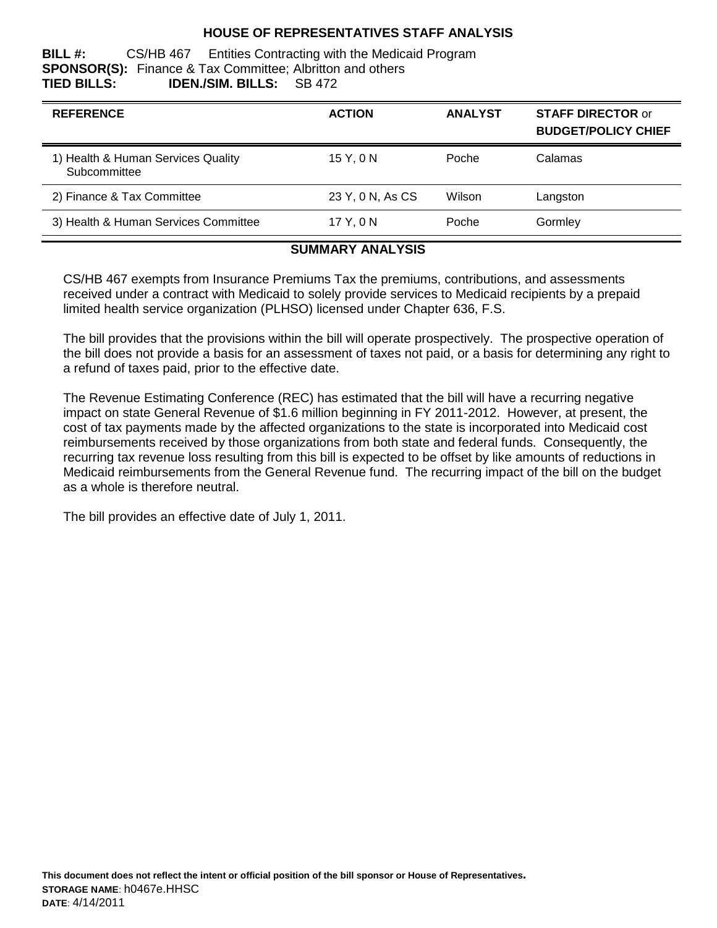#### **HOUSE OF REPRESENTATIVES STAFF ANALYSIS**

**BILL #:** CS/HB 467 Entities Contracting with the Medicaid Program **SPONSOR(S):** Finance & Tax Committee; Albritton and others **TIED BILLS: IDEN./SIM. BILLS:** SB 472

| <b>REFERENCE</b>                                   | <b>ACTION</b>    | <b>ANALYST</b> | <b>STAFF DIRECTOR or</b><br><b>BUDGET/POLICY CHIEF</b> |
|----------------------------------------------------|------------------|----------------|--------------------------------------------------------|
| 1) Health & Human Services Quality<br>Subcommittee | 15 Y, 0 N        | Poche          | Calamas                                                |
| 2) Finance & Tax Committee                         | 23 Y, 0 N, As CS | Wilson         | Langston                                               |
| 3) Health & Human Services Committee               | 17 Y.ON          | Poche          | Gormley                                                |

#### **SUMMARY ANALYSIS**

CS/HB 467 exempts from Insurance Premiums Tax the premiums, contributions, and assessments received under a contract with Medicaid to solely provide services to Medicaid recipients by a prepaid limited health service organization (PLHSO) licensed under Chapter 636, F.S.

The bill provides that the provisions within the bill will operate prospectively. The prospective operation of the bill does not provide a basis for an assessment of taxes not paid, or a basis for determining any right to a refund of taxes paid, prior to the effective date.

The Revenue Estimating Conference (REC) has estimated that the bill will have a recurring negative impact on state General Revenue of \$1.6 million beginning in FY 2011-2012. However, at present, the cost of tax payments made by the affected organizations to the state is incorporated into Medicaid cost reimbursements received by those organizations from both state and federal funds. Consequently, the recurring tax revenue loss resulting from this bill is expected to be offset by like amounts of reductions in Medicaid reimbursements from the General Revenue fund. The recurring impact of the bill on the budget as a whole is therefore neutral.

The bill provides an effective date of July 1, 2011.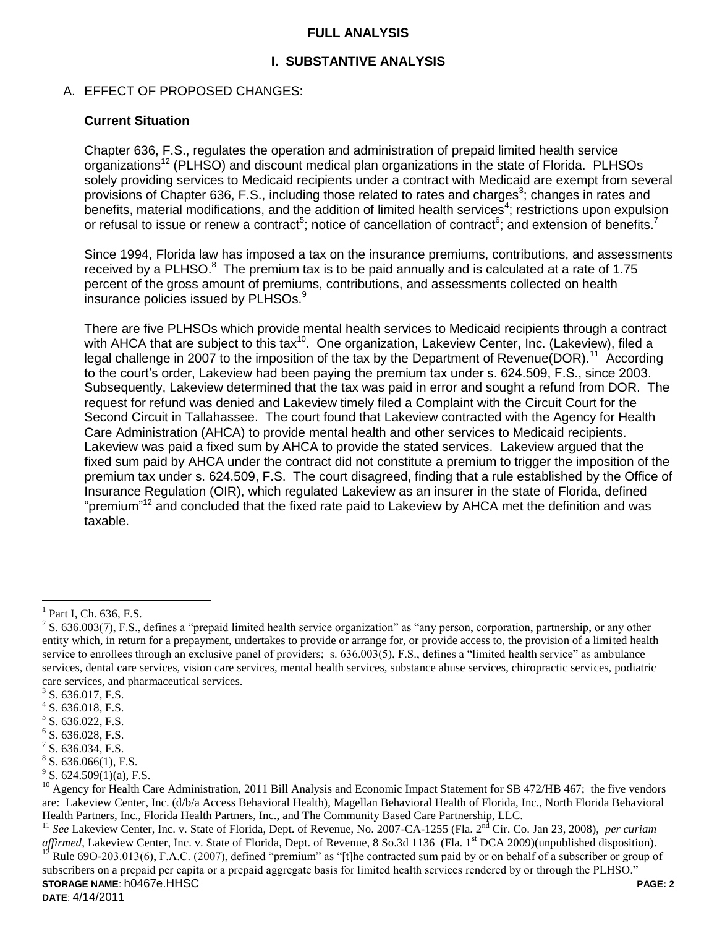#### **FULL ANALYSIS**

### **I. SUBSTANTIVE ANALYSIS**

### A. EFFECT OF PROPOSED CHANGES:

#### **Current Situation**

Chapter 636, F.S., regulates the operation and administration of prepaid limited health service organizations<sup>12</sup> (PLHSO) and discount medical plan organizations in the state of Florida. PLHSOs solely providing services to Medicaid recipients under a contract with Medicaid are exempt from several provisions of Chapter 636, F.S., including those related to rates and charges<sup>3</sup>; changes in rates and benefits, material modifications, and the addition of limited health services<sup>4</sup>; restrictions upon expulsion or refusal to issue or renew a contract<sup>5</sup>; notice of cancellation of contract<sup>6</sup>; and extension of benefits.<sup>7</sup>

Since 1994, Florida law has imposed a tax on the insurance premiums, contributions, and assessments received by a PLHSO. $8$  The premium tax is to be paid annually and is calculated at a rate of 1.75 percent of the gross amount of premiums, contributions, and assessments collected on health insurance policies issued by PLHSOs.<sup>9</sup>

There are five PLHSOs which provide mental health services to Medicaid recipients through a contract with AHCA that are subject to this tax<sup>10</sup>. One organization, Lakeview Center, Inc. (Lakeview), filed a legal challenge in 2007 to the imposition of the tax by the Department of Revenue(DOR).<sup>11</sup> According to the court's order, Lakeview had been paying the premium tax under s. 624.509, F.S., since 2003. Subsequently, Lakeview determined that the tax was paid in error and sought a refund from DOR. The request for refund was denied and Lakeview timely filed a Complaint with the Circuit Court for the Second Circuit in Tallahassee. The court found that Lakeview contracted with the Agency for Health Care Administration (AHCA) to provide mental health and other services to Medicaid recipients. Lakeview was paid a fixed sum by AHCA to provide the stated services. Lakeview argued that the fixed sum paid by AHCA under the contract did not constitute a premium to trigger the imposition of the premium tax under s. 624.509, F.S. The court disagreed, finding that a rule established by the Office of Insurance Regulation (OIR), which regulated Lakeview as an insurer in the state of Florida, defined "premium"<sup>12</sup> and concluded that the fixed rate paid to Lakeview by AHCA met the definition and was taxable.

 $\overline{a}$ 

**STORAGE NAME**: h0467e.HHSC **PAGE: 2 DATE**: 4/14/2011 <sup>11</sup> See Lakeview Center, Inc. v. State of Florida, Dept. of Revenue, No. 2007-CA-1255 (Fla. 2<sup>nd</sup> Cir. Co. Jan 23, 2008), *per curiam affirmed*, Lakeview Center, Inc. v. State of Florida, Dept. of Revenue, 8 So.3d 1136 (Fla. 1<sup>st</sup> DCA 2009)(unpublished disposition). Rule 69O-203.013(6), F.A.C. (2007), defined "premium" as "[t]he contracted sum paid by or on behalf of a subscriber or group of subscribers on a prepaid per capita or a prepaid aggregate basis for limited health services rendered by or through the PLHSO."

 $<sup>1</sup>$  Part I, Ch. 636, F.S.</sup>

 $2^2$  S. 636.003(7), F.S., defines a "prepaid limited health service organization" as "any person, corporation, partnership, or any other entity which, in return for a prepayment, undertakes to provide or arrange for, or provide access to, the provision of a limited health service to enrollees through an exclusive panel of providers; s. 636.003(5), F.S., defines a "limited health service" as ambulance services, dental care services, vision care services, mental health services, substance abuse services, chiropractic services, podiatric care services, and pharmaceutical services.

 $3$  S. 636.017, F.S.

 $4$  S. 636.018, F.S.

<sup>&</sup>lt;sup>5</sup> S. 636.022, F.S.

 $6$  S. 636.028, F.S.

 $7$  S. 636.034, F.S.

 $8$  S. 636.066(1), F.S.

 $9^9$  S. 624.509(1)(a), F.S.

 $^{10}$  Agency for Health Care Administration, 2011 Bill Analysis and Economic Impact Statement for SB 472/HB 467; the five vendors are: Lakeview Center, Inc. (d/b/a Access Behavioral Health), Magellan Behavioral Health of Florida, Inc., North Florida Behavioral Health Partners, Inc., Florida Health Partners, Inc., and The Community Based Care Partnership, LLC.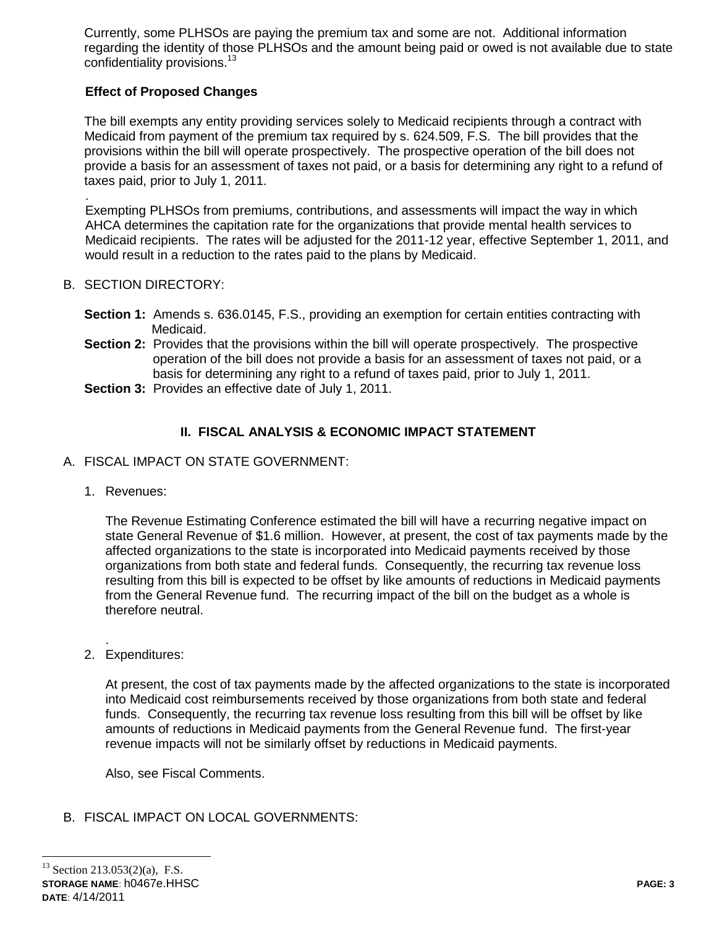Currently, some PLHSOs are paying the premium tax and some are not. Additional information regarding the identity of those PLHSOs and the amount being paid or owed is not available due to state confidentiality provisions.<sup>13</sup>

### **Effect of Proposed Changes**

The bill exempts any entity providing services solely to Medicaid recipients through a contract with Medicaid from payment of the premium tax required by s. 624.509, F.S. The bill provides that the provisions within the bill will operate prospectively. The prospective operation of the bill does not provide a basis for an assessment of taxes not paid, or a basis for determining any right to a refund of taxes paid, prior to July 1, 2011.

. Exempting PLHSOs from premiums, contributions, and assessments will impact the way in which AHCA determines the capitation rate for the organizations that provide mental health services to Medicaid recipients. The rates will be adjusted for the 2011-12 year, effective September 1, 2011, and would result in a reduction to the rates paid to the plans by Medicaid.

### B. SECTION DIRECTORY:

- **Section 1:** Amends s. 636.0145, F.S., providing an exemption for certain entities contracting with Medicaid.
- **Section 2:** Provides that the provisions within the bill will operate prospectively. The prospective operation of the bill does not provide a basis for an assessment of taxes not paid, or a basis for determining any right to a refund of taxes paid, prior to July 1, 2011.
- **Section 3: Provides an effective date of July 1, 2011.**

## **II. FISCAL ANALYSIS & ECONOMIC IMPACT STATEMENT**

- A. FISCAL IMPACT ON STATE GOVERNMENT:
	- 1. Revenues:

The Revenue Estimating Conference estimated the bill will have a recurring negative impact on state General Revenue of \$1.6 million. However, at present, the cost of tax payments made by the affected organizations to the state is incorporated into Medicaid payments received by those organizations from both state and federal funds. Consequently, the recurring tax revenue loss resulting from this bill is expected to be offset by like amounts of reductions in Medicaid payments from the General Revenue fund. The recurring impact of the bill on the budget as a whole is therefore neutral.

. 2. Expenditures:

> At present, the cost of tax payments made by the affected organizations to the state is incorporated into Medicaid cost reimbursements received by those organizations from both state and federal funds. Consequently, the recurring tax revenue loss resulting from this bill will be offset by like amounts of reductions in Medicaid payments from the General Revenue fund. The first-year revenue impacts will not be similarly offset by reductions in Medicaid payments.

Also, see Fiscal Comments.

### B. FISCAL IMPACT ON LOCAL GOVERNMENTS:

**STORAGE NAME**: h0467e.HHSC **PAGE: 3 DATE**: 4/14/2011  $\overline{a}$  $13$  Section 213.053(2)(a), F.S.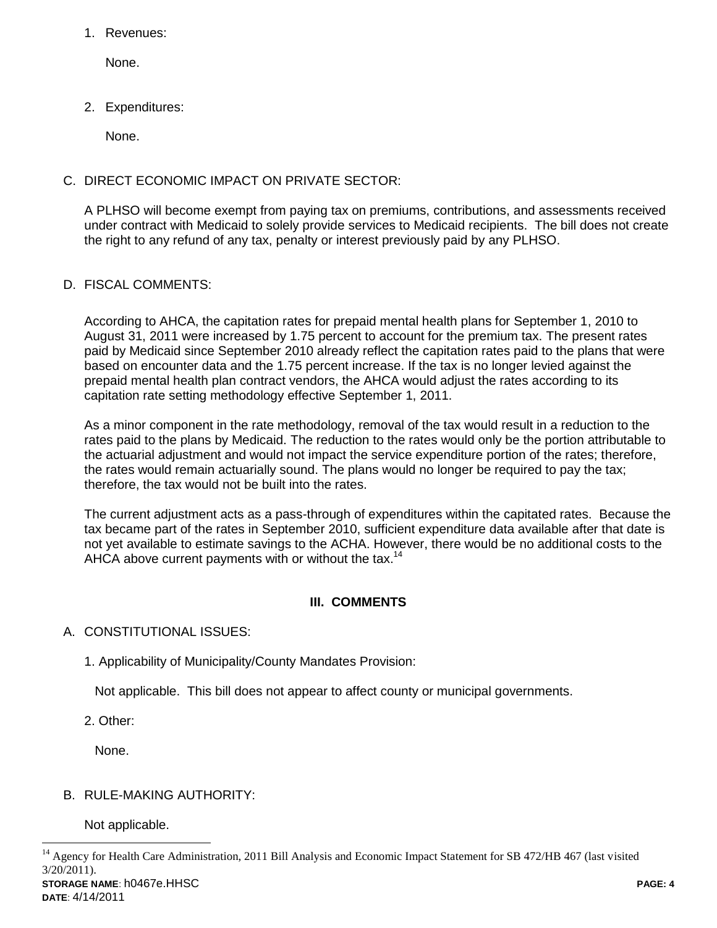1. Revenues:

None.

2. Expenditures:

None.

## C. DIRECT ECONOMIC IMPACT ON PRIVATE SECTOR:

A PLHSO will become exempt from paying tax on premiums, contributions, and assessments received under contract with Medicaid to solely provide services to Medicaid recipients. The bill does not create the right to any refund of any tax, penalty or interest previously paid by any PLHSO.

## D. FISCAL COMMENTS:

According to AHCA, the capitation rates for prepaid mental health plans for September 1, 2010 to August 31, 2011 were increased by 1.75 percent to account for the premium tax. The present rates paid by Medicaid since September 2010 already reflect the capitation rates paid to the plans that were based on encounter data and the 1.75 percent increase. If the tax is no longer levied against the prepaid mental health plan contract vendors, the AHCA would adjust the rates according to its capitation rate setting methodology effective September 1, 2011.

As a minor component in the rate methodology, removal of the tax would result in a reduction to the rates paid to the plans by Medicaid. The reduction to the rates would only be the portion attributable to the actuarial adjustment and would not impact the service expenditure portion of the rates; therefore, the rates would remain actuarially sound. The plans would no longer be required to pay the tax; therefore, the tax would not be built into the rates.

The current adjustment acts as a pass-through of expenditures within the capitated rates. Because the tax became part of the rates in September 2010, sufficient expenditure data available after that date is not yet available to estimate savings to the ACHA. However, there would be no additional costs to the AHCA above current payments with or without the tax.<sup>14</sup>

## **III. COMMENTS**

## A. CONSTITUTIONAL ISSUES:

1. Applicability of Municipality/County Mandates Provision:

Not applicable. This bill does not appear to affect county or municipal governments.

2. Other:

None.

## B. RULE-MAKING AUTHORITY:

Not applicable.

 $\overline{a}$ 

**STORAGE NAME**: h0467e.HHSC **PAGE: 4** <sup>14</sup> Agency for Health Care Administration, 2011 Bill Analysis and Economic Impact Statement for SB 472/HB 467 (last visited 3/20/2011).